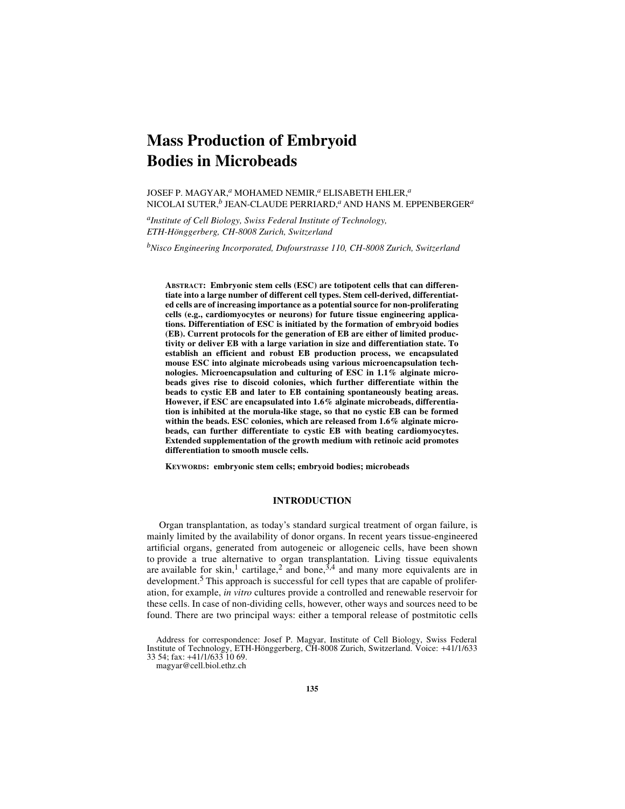# **Mass Production of Embryoid Bodies in Microbeads**

JOSEF P. MAGYAR,*a* MOHAMED NEMIR,*a* ELISABETH EHLER,*<sup>a</sup>* NICOLAI SUTER,*b* JEAN-CLAUDE PERRIARD,*a* AND HANS M. EPPENBERGER*<sup>a</sup>*

*aInstitute of Cell Biology, Swiss Federal Institute of Technology, ETH-Hönggerberg, CH-8008 Zurich, Switzerland*

*bNisco Engineering Incorporated, Dufourstrasse 110, CH-8008 Zurich, Switzerland*

**ABSTRACT: Embryonic stem cells (ESC) are totipotent cells that can differentiate into a large number of different cell types. Stem cell-derived, differentiated cells are of increasing importance as a potential source for non-proliferating cells (e.g., cardiomyocytes or neurons) for future tissue engineering applications. Differentiation of ESC is initiated by the formation of embryoid bodies (EB). Current protocols for the generation of EB are either of limited productivity or deliver EB with a large variation in size and differentiation state. To establish an efficient and robust EB production process, we encapsulated mouse ESC into alginate microbeads using various microencapsulation technologies. Microencapsulation and culturing of ESC in 1.1% alginate microbeads gives rise to discoid colonies, which further differentiate within the beads to cystic EB and later to EB containing spontaneously beating areas. However, if ESC are encapsulated into 1.6% alginate microbeads, differentiation is inhibited at the morula-like stage, so that no cystic EB can be formed within the beads. ESC colonies, which are released from 1.6% alginate microbeads, can further differentiate to cystic EB with beating cardiomyocytes. Extended supplementation of the growth medium with retinoic acid promotes differentiation to smooth muscle cells.**

**KEYWORDS: embryonic stem cells; embryoid bodies; microbeads**

# **INTRODUCTION**

Organ transplantation, as today's standard surgical treatment of organ failure, is mainly limited by the availability of donor organs. In recent years tissue-engineered artificial organs, generated from autogeneic or allogeneic cells, have been shown to provide a true alternative to organ transplantation. Living tissue equivalents are available for skin,<sup>1</sup> cartilage,<sup>2</sup> and bone,<sup>3,4</sup> and many more equivalents are in development.<sup>5</sup> This approach is successful for cell types that are capable of proliferation, for example, *in vitro* cultures provide a controlled and renewable reservoir for these cells. In case of non-dividing cells, however, other ways and sources need to be found. There are two principal ways: either a temporal release of postmitotic cells

Address for correspondence: Josef P. Magyar, Institute of Cell Biology, Swiss Federal Institute of Technology, ETH-Hönggerberg, CH-8008 Zurich, Switzerland. Voice: +41/1/633 33 54; fax: +41/1/633 10 69.

magyar@cell.biol.ethz.ch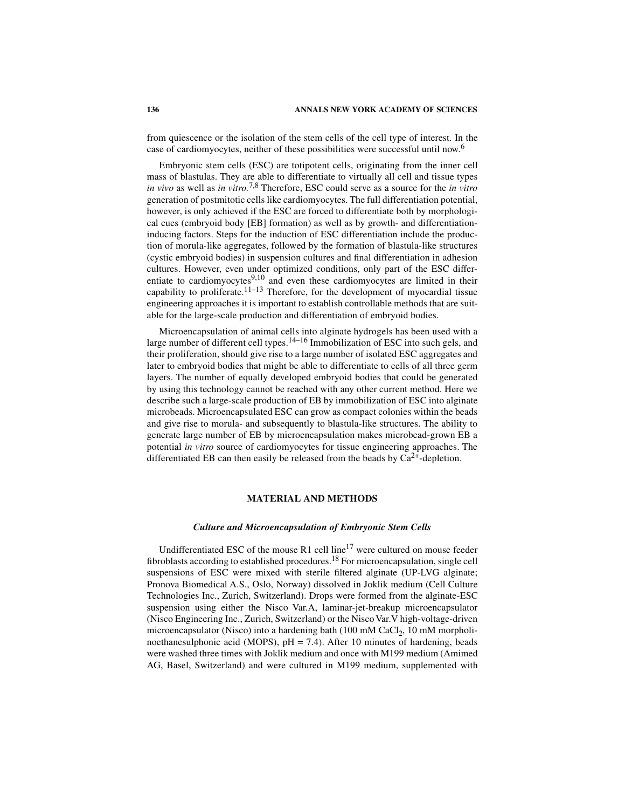from quiescence or the isolation of the stem cells of the cell type of interest. In the case of cardiomyocytes, neither of these possibilities were successful until now.<sup>6</sup>

Embryonic stem cells (ESC) are totipotent cells, originating from the inner cell mass of blastulas. They are able to differentiate to virtually all cell and tissue types *in vivo* as well as *in vitro.*7,8 Therefore, ESC could serve as a source for the *in vitro* generation of postmitotic cells like cardiomyocytes. The full differentiation potential, however, is only achieved if the ESC are forced to differentiate both by morphological cues (embryoid body [EB] formation) as well as by growth- and differentiationinducing factors. Steps for the induction of ESC differentiation include the production of morula-like aggregates, followed by the formation of blastula-like structures (cystic embryoid bodies) in suspension cultures and final differentiation in adhesion cultures. However, even under optimized conditions, only part of the ESC differentiate to cardiomyocytes<sup>9,10</sup> and even these cardiomyocytes are limited in their capability to proliferate.<sup>11–13</sup> Therefore, for the development of myocardial tissue engineering approaches it is important to establish controllable methods that are suitable for the large-scale production and differentiation of embryoid bodies.

Microencapsulation of animal cells into alginate hydrogels has been used with a large number of different cell types.14–16 Immobilization of ESC into such gels, and their proliferation, should give rise to a large number of isolated ESC aggregates and later to embryoid bodies that might be able to differentiate to cells of all three germ layers. The number of equally developed embryoid bodies that could be generated by using this technology cannot be reached with any other current method. Here we describe such a large-scale production of EB by immobilization of ESC into alginate microbeads. Microencapsulated ESC can grow as compact colonies within the beads and give rise to morula- and subsequently to blastula-like structures. The ability to generate large number of EB by microencapsulation makes microbead-grown EB a potential *in vitro* source of cardiomyocytes for tissue engineering approaches. The differentiated EB can then easily be released from the beads by  $Ca^{2+}$ -depletion.

## **MATERIAL AND METHODS**

## *Culture and Microencapsulation of Embryonic Stem Cells*

Undifferentiated ESC of the mouse  $R1$  cell line<sup>17</sup> were cultured on mouse feeder fibroblasts according to established procedures.18 For microencapsulation, single cell suspensions of ESC were mixed with sterile filtered alginate (UP-LVG alginate; Pronova Biomedical A.S., Oslo, Norway) dissolved in Joklik medium (Cell Culture Technologies Inc., Zurich, Switzerland). Drops were formed from the alginate-ESC suspension using either the Nisco Var.A, laminar-jet-breakup microencapsulator (Nisco Engineering Inc., Zurich, Switzerland) or the Nisco Var.V high-voltage-driven microencapsulator (Nisco) into a hardening bath (100 mM CaCl<sub>2</sub>, 10 mM morpholinoethanesulphonic acid (MOPS),  $pH = 7.4$ ). After 10 minutes of hardening, beads were washed three times with Joklik medium and once with M199 medium (Amimed AG, Basel, Switzerland) and were cultured in M199 medium, supplemented with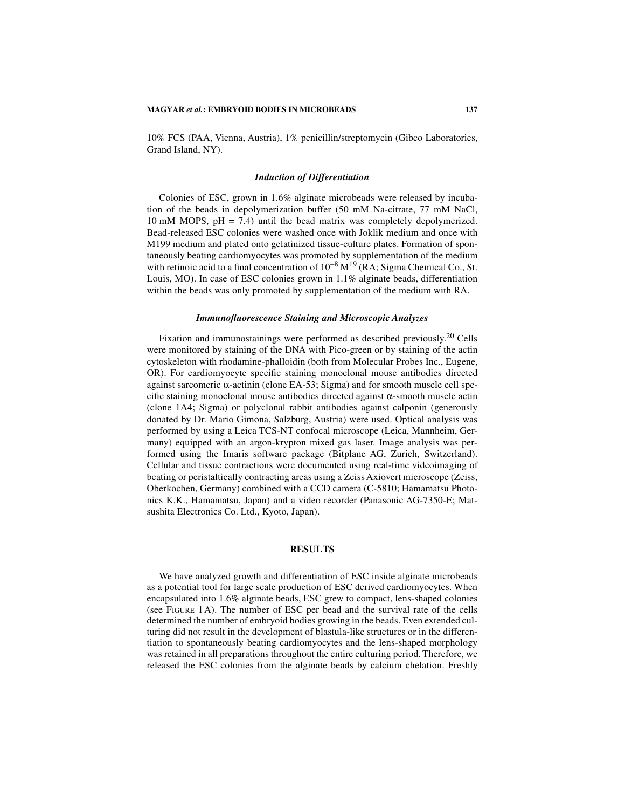#### **MAGYAR** *et al.***: EMBRYOID BODIES IN MICROBEADS 137**

10% FCS (PAA, Vienna, Austria), 1% penicillin/streptomycin (Gibco Laboratories, Grand Island, NY).

#### *Induction of Differentiation*

Colonies of ESC, grown in 1.6% alginate microbeads were released by incubation of the beads in depolymerization buffer (50 mM Na-citrate, 77 mM NaCl, 10 mM MOPS,  $pH = 7.4$ ) until the bead matrix was completely depolymerized. Bead-released ESC colonies were washed once with Joklik medium and once with M199 medium and plated onto gelatinized tissue-culture plates. Formation of spontaneously beating cardiomyocytes was promoted by supplementation of the medium with retinoic acid to a final concentration of  $10^{-8}$  M<sup>19</sup> (RA; Sigma Chemical Co., St. Louis, MO). In case of ESC colonies grown in 1.1% alginate beads, differentiation within the beads was only promoted by supplementation of the medium with RA.

#### *Immunofluorescence Staining and Microscopic Analyzes*

Fixation and immunostainings were performed as described previously.20 Cells were monitored by staining of the DNA with Pico-green or by staining of the actin cytoskeleton with rhodamine-phalloidin (both from Molecular Probes Inc., Eugene, OR). For cardiomyocyte specific staining monoclonal mouse antibodies directed against sarcomeric  $\alpha$ -actinin (clone EA-53; Sigma) and for smooth muscle cell specific staining monoclonal mouse antibodies directed against  $\alpha$ -smooth muscle actin (clone 1A4; Sigma) or polyclonal rabbit antibodies against calponin (generously donated by Dr. Mario Gimona, Salzburg, Austria) were used. Optical analysis was performed by using a Leica TCS-NT confocal microscope (Leica, Mannheim, Germany) equipped with an argon-krypton mixed gas laser. Image analysis was performed using the Imaris software package (Bitplane AG, Zurich, Switzerland). Cellular and tissue contractions were documented using real-time videoimaging of beating or peristaltically contracting areas using a Zeiss Axiovert microscope (Zeiss, Oberkochen, Germany) combined with a CCD camera (C-5810; Hamamatsu Photonics K.K., Hamamatsu, Japan) and a video recorder (Panasonic AG-7350-E; Matsushita Electronics Co. Ltd., Kyoto, Japan).

## **RESULTS**

We have analyzed growth and differentiation of ESC inside alginate microbeads as a potential tool for large scale production of ESC derived cardiomyocytes. When encapsulated into 1.6% alginate beads, ESC grew to compact, lens-shaped colonies (see FIGURE 1A). The number of ESC per bead and the survival rate of the cells determined the number of embryoid bodies growing in the beads. Even extended culturing did not result in the development of blastula-like structures or in the differentiation to spontaneously beating cardiomyocytes and the lens-shaped morphology was retained in all preparations throughout the entire culturing period. Therefore, we released the ESC colonies from the alginate beads by calcium chelation. Freshly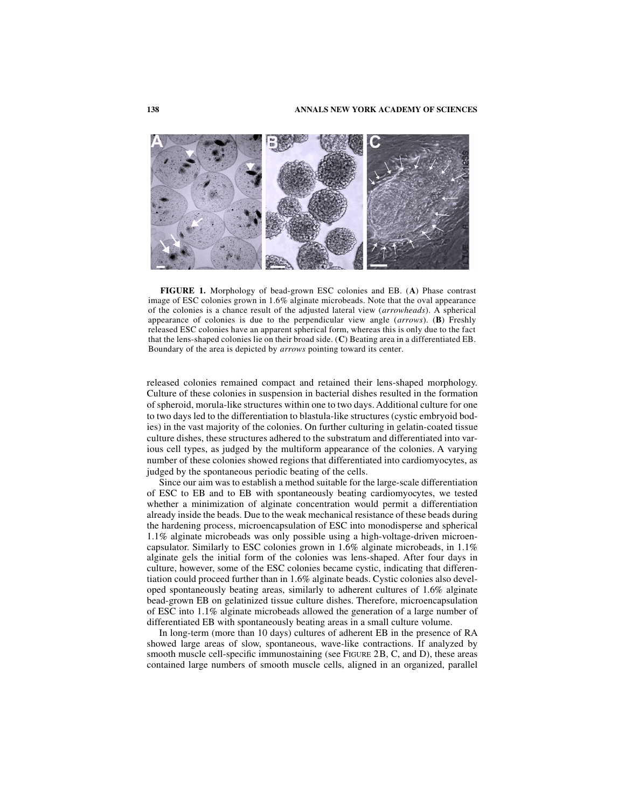

**FIGURE 1.** Morphology of bead-grown ESC colonies and EB. (**A**) Phase contrast image of ESC colonies grown in 1.6% alginate microbeads. Note that the oval appearance of the colonies is a chance result of the adjusted lateral view (*arrowheads*). A spherical appearance of colonies is due to the perpendicular view angle (*arrows*). (**B**) Freshly released ESC colonies have an apparent spherical form, whereas this is only due to the fact that the lens-shaped colonies lie on their broad side. (**C**) Beating area in a differentiated EB. Boundary of the area is depicted by *arrows* pointing toward its center.

released colonies remained compact and retained their lens-shaped morphology. Culture of these colonies in suspension in bacterial dishes resulted in the formation of spheroid, morula-like structures within one to two days. Additional culture for one to two days led to the differentiation to blastula-like structures (cystic embryoid bodies) in the vast majority of the colonies. On further culturing in gelatin-coated tissue culture dishes, these structures adhered to the substratum and differentiated into various cell types, as judged by the multiform appearance of the colonies. A varying number of these colonies showed regions that differentiated into cardiomyocytes, as judged by the spontaneous periodic beating of the cells.

Since our aim was to establish a method suitable for the large-scale differentiation of ESC to EB and to EB with spontaneously beating cardiomyocytes, we tested whether a minimization of alginate concentration would permit a differentiation already inside the beads. Due to the weak mechanical resistance of these beads during the hardening process, microencapsulation of ESC into monodisperse and spherical 1.1% alginate microbeads was only possible using a high-voltage-driven microencapsulator. Similarly to ESC colonies grown in 1.6% alginate microbeads, in 1.1% alginate gels the initial form of the colonies was lens-shaped. After four days in culture, however, some of the ESC colonies became cystic, indicating that differentiation could proceed further than in 1.6% alginate beads. Cystic colonies also developed spontaneously beating areas, similarly to adherent cultures of 1.6% alginate bead-grown EB on gelatinized tissue culture dishes. Therefore, microencapsulation of ESC into 1.1% alginate microbeads allowed the generation of a large number of differentiated EB with spontaneously beating areas in a small culture volume.

In long-term (more than 10 days) cultures of adherent EB in the presence of RA showed large areas of slow, spontaneous, wave-like contractions. If analyzed by smooth muscle cell-specific immunostaining (see FIGURE 2B, C, and D), these areas contained large numbers of smooth muscle cells, aligned in an organized, parallel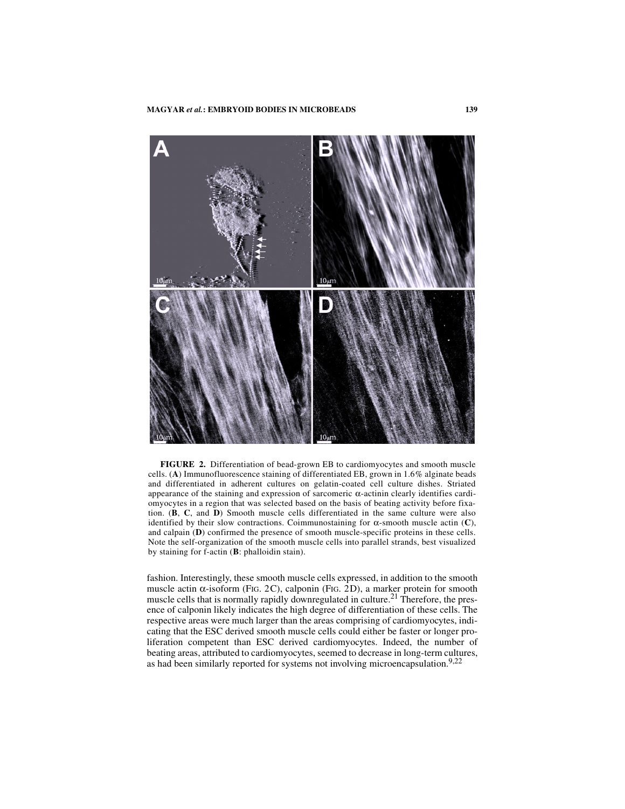

**FIGURE 2.** Differentiation of bead-grown EB to cardiomyocytes and smooth muscle cells. (**A**) Immunofluorescence staining of differentiated EB, grown in 1.6% alginate beads and differentiated in adherent cultures on gelatin-coated cell culture dishes. Striated appearance of the staining and expression of sarcomeric α-actinin clearly identifies cardiomyocytes in a region that was selected based on the basis of beating activity before fixation. (**B**, **C**, and **D**) Smooth muscle cells differentiated in the same culture were also identified by their slow contractions. Coimmunostaining for α-smooth muscle actin (**C**), and calpain (**D**) confirmed the presence of smooth muscle-specific proteins in these cells. Note the self-organization of the smooth muscle cells into parallel strands, best visualized by staining for f-actin (**B**: phalloidin stain).

fashion. Interestingly, these smooth muscle cells expressed, in addition to the smooth muscle actin  $\alpha$ -isoform (FIG. 2C), calponin (FIG. 2D), a marker protein for smooth muscle cells that is normally rapidly downregulated in culture.<sup>21</sup> Therefore, the presence of calponin likely indicates the high degree of differentiation of these cells. The respective areas were much larger than the areas comprising of cardiomyocytes, indicating that the ESC derived smooth muscle cells could either be faster or longer proliferation competent than ESC derived cardiomyocytes. Indeed, the number of beating areas, attributed to cardiomyocytes, seemed to decrease in long-term cultures, as had been similarly reported for systems not involving microencapsulation.<sup>9,22</sup>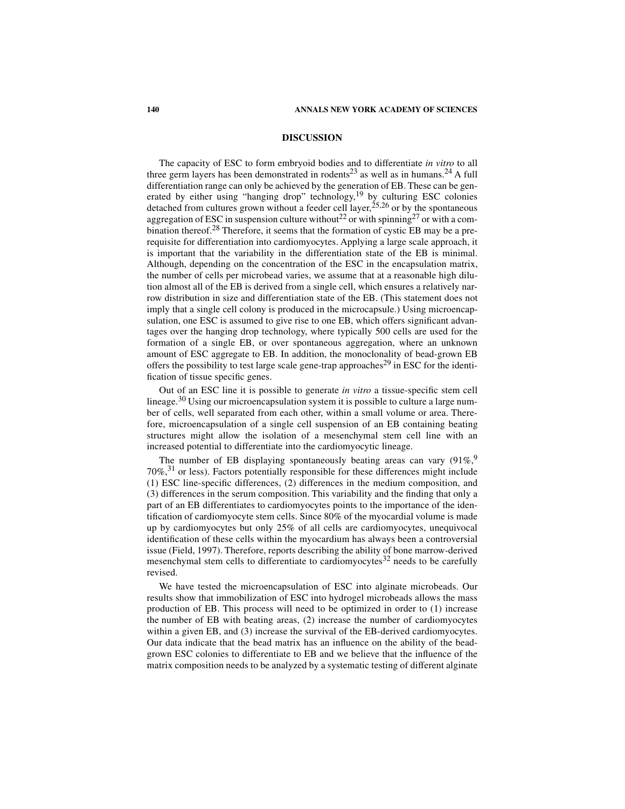## **DISCUSSION**

The capacity of ESC to form embryoid bodies and to differentiate *in vitro* to all three germ layers has been demonstrated in rodents<sup>23</sup> as well as in humans.<sup>24</sup> A full differentiation range can only be achieved by the generation of EB. These can be generated by either using "hanging drop" technology,<sup>19</sup> by culturing ESC colonies detached from cultures grown without a feeder cell layer,<sup>25,26</sup> or by the spontaneous aggregation of ESC in suspension culture without<sup>22</sup> or with spinning<sup>27</sup> or with a combination thereof.<sup>28</sup> Therefore, it seems that the formation of cystic EB may be a prerequisite for differentiation into cardiomyocytes. Applying a large scale approach, it is important that the variability in the differentiation state of the EB is minimal. Although, depending on the concentration of the ESC in the encapsulation matrix, the number of cells per microbead varies, we assume that at a reasonable high dilution almost all of the EB is derived from a single cell, which ensures a relatively narrow distribution in size and differentiation state of the EB. (This statement does not imply that a single cell colony is produced in the microcapsule.) Using microencapsulation, one ESC is assumed to give rise to one EB, which offers significant advantages over the hanging drop technology, where typically 500 cells are used for the formation of a single EB, or over spontaneous aggregation, where an unknown amount of ESC aggregate to EB. In addition, the monoclonality of bead-grown EB offers the possibility to test large scale gene-trap approaches<sup>29</sup> in ESC for the identification of tissue specific genes.

Out of an ESC line it is possible to generate *in vitro* a tissue-specific stem cell lineage.30 Using our microencapsulation system it is possible to culture a large number of cells, well separated from each other, within a small volume or area. Therefore, microencapsulation of a single cell suspension of an EB containing beating structures might allow the isolation of a mesenchymal stem cell line with an increased potential to differentiate into the cardiomyocytic lineage.

The number of EB displaying spontaneously beating areas can vary  $(91\%, 91\%)$ 70%, 31 or less). Factors potentially responsible for these differences might include (1) ESC line-specific differences, (2) differences in the medium composition, and (3) differences in the serum composition. This variability and the finding that only a part of an EB differentiates to cardiomyocytes points to the importance of the identification of cardiomyocyte stem cells. Since 80% of the myocardial volume is made up by cardiomyocytes but only 25% of all cells are cardiomyocytes, unequivocal identification of these cells within the myocardium has always been a controversial issue (Field, 1997). Therefore, reports describing the ability of bone marrow-derived mesenchymal stem cells to differentiate to cardiomyocytes $32$  needs to be carefully revised.

We have tested the microencapsulation of ESC into alginate microbeads. Our results show that immobilization of ESC into hydrogel microbeads allows the mass production of EB. This process will need to be optimized in order to (1) increase the number of EB with beating areas, (2) increase the number of cardiomyocytes within a given EB, and (3) increase the survival of the EB-derived cardiomyocytes. Our data indicate that the bead matrix has an influence on the ability of the beadgrown ESC colonies to differentiate to EB and we believe that the influence of the matrix composition needs to be analyzed by a systematic testing of different alginate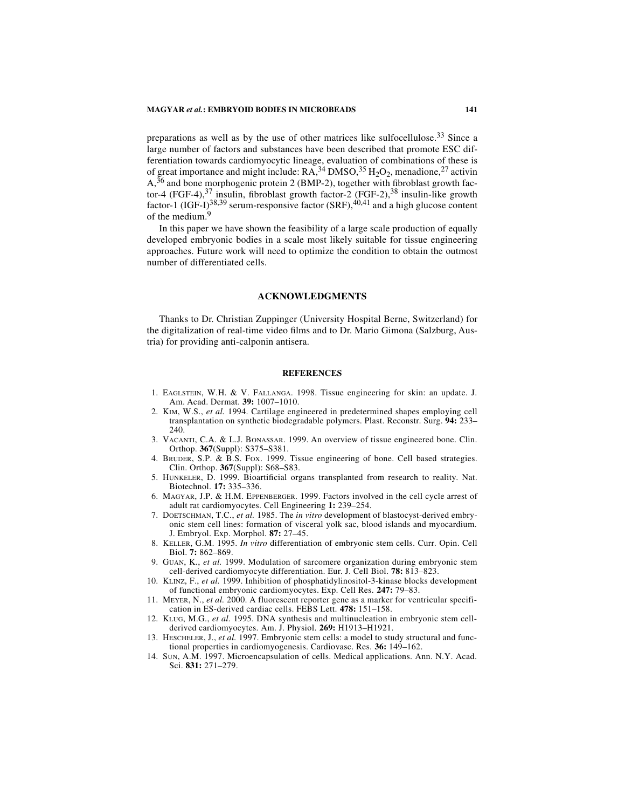#### **MAGYAR** *et al.***: EMBRYOID BODIES IN MICROBEADS 141**

preparations as well as by the use of other matrices like sulfocellulose.<sup>33</sup> Since a large number of factors and substances have been described that promote ESC differentiation towards cardiomyocytic lineage, evaluation of combinations of these is of great importance and might include:  $\overline{RA}^{34}$  DMSO,  $^{35}$  H<sub>2</sub>O<sub>2</sub>, menadione,<sup>27</sup> activin  $A$ ,<sup>36</sup> and bone morphogenic protein 2 (BMP-2), together with fibroblast growth factor-4 (FGF-4),<sup>37</sup> insulin, fibroblast growth factor-2 (FGF-2),<sup>38</sup> insulin-like growth factor-1 (IGF-I)<sup>38,39</sup> serum-responsive factor (SRF),<sup>40,41</sup> and a high glucose content of the medium.<sup>9</sup>

In this paper we have shown the feasibility of a large scale production of equally developed embryonic bodies in a scale most likely suitable for tissue engineering approaches. Future work will need to optimize the condition to obtain the outmost number of differentiated cells.

## **ACKNOWLEDGMENTS**

Thanks to Dr. Christian Zuppinger (University Hospital Berne, Switzerland) for the digitalization of real-time video films and to Dr. Mario Gimona (Salzburg, Austria) for providing anti-calponin antisera.

#### **REFERENCES**

- 1. EAGLSTEIN, W.H. & V. FALLANGA. 1998. Tissue engineering for skin: an update. J. Am. Acad. Dermat. **39:** 1007–1010.
- 2. KIM, W.S., *et al.* 1994. Cartilage engineered in predetermined shapes employing cell transplantation on synthetic biodegradable polymers. Plast. Reconstr. Surg. **94:** 233– 240
- 3. VACANTI, C.A. & L.J. BONASSAR. 1999. An overview of tissue engineered bone. Clin. Orthop. **367**(Suppl): S375–S381.
- 4. BRUDER, S.P. & B.S. FOX. 1999. Tissue engineering of bone. Cell based strategies. Clin. Orthop. **367**(Suppl): S68–S83.
- 5. HUNKELER, D. 1999. Bioartificial organs transplanted from research to reality. Nat. Biotechnol. **17:** 335–336.
- 6. MAGYAR, J.P. & H.M. EPPENBERGER. 1999. Factors involved in the cell cycle arrest of adult rat cardiomyocytes. Cell Engineering **1:** 239–254.
- 7. DOETSCHMAN, T.C., *et al.* 1985. The *in vitro* development of blastocyst-derived embryonic stem cell lines: formation of visceral yolk sac, blood islands and myocardium. J. Embryol. Exp. Morphol. **87:** 27–45.
- 8. KELLER, G.M. 1995. *In vitro* differentiation of embryonic stem cells. Curr. Opin. Cell Biol. **7:** 862–869.
- 9. GUAN, K., *et al.* 1999. Modulation of sarcomere organization during embryonic stem cell-derived cardiomyocyte differentiation. Eur. J. Cell Biol. **78:** 813–823.
- 10. KLINZ, F., *et al.* 1999. Inhibition of phosphatidylinositol-3-kinase blocks development of functional embryonic cardiomyocytes. Exp. Cell Res. **247:** 79–83.
- 11. MEYER, N., *et al.* 2000. A fluorescent reporter gene as a marker for ventricular specification in ES-derived cardiac cells. FEBS Lett. **478:** 151–158.
- 12. KLUG, M.G., *et al.* 1995. DNA synthesis and multinucleation in embryonic stem cellderived cardiomyocytes. Am. J. Physiol. **269:** H1913–H1921.
- 13. HESCHELER, J., *et al.* 1997. Embryonic stem cells: a model to study structural and functional properties in cardiomyogenesis. Cardiovasc. Res. **36:** 149–162.
- 14. SUN, A.M. 1997. Microencapsulation of cells. Medical applications. Ann. N.Y. Acad. Sci. **831:** 271–279.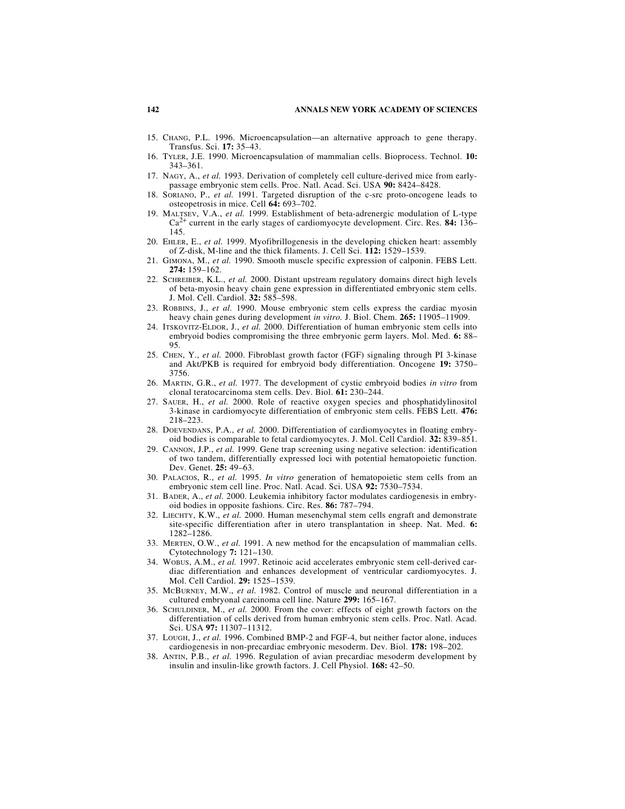- 15. CHANG, P.L. 1996. Microencapsulation—an alternative approach to gene therapy. Transfus. Sci. **17:** 35–43.
- 16. TYLER, J.E. 1990. Microencapsulation of mammalian cells. Bioprocess. Technol. **10:** 343–361.
- 17. NAGY, A., *et al.* 1993. Derivation of completely cell culture-derived mice from earlypassage embryonic stem cells. Proc. Natl. Acad. Sci. USA **90:** 8424–8428.
- 18. SORIANO, P., *et al.* 1991. Targeted disruption of the c-src proto-oncogene leads to osteopetrosis in mice. Cell **64:** 693–702.
- 19. MALTSEV, V.A., *et al.* 1999. Establishment of beta-adrenergic modulation of L-type Ca2+ current in the early stages of cardiomyocyte development. Circ. Res. **84:** 136– 145.
- 20. EHLER, E., *et al.* 1999. Myofibrillogenesis in the developing chicken heart: assembly of Z-disk, M-line and the thick filaments. J. Cell Sci. **112:** 1529–1539.
- 21. GIMONA, M., *et al.* 1990. Smooth muscle specific expression of calponin. FEBS Lett. **274:** 159–162.
- 22. SCHREIBER, K.L., *et al.* 2000. Distant upstream regulatory domains direct high levels of beta-myosin heavy chain gene expression in differentiated embryonic stem cells. J. Mol. Cell. Cardiol. **32:** 585–598.
- 23. ROBBINS, J., *et al.* 1990. Mouse embryonic stem cells express the cardiac myosin heavy chain genes during development *in vitro.* J. Biol. Chem. **265:** 11905–11909.
- 24. ITSKOVITZ-ELDOR, J., *et al.* 2000. Differentiation of human embryonic stem cells into embryoid bodies compromising the three embryonic germ layers. Mol. Med. **6:** 88– 95.
- 25. CHEN, Y., *et al.* 2000. Fibroblast growth factor (FGF) signaling through PI 3-kinase and Akt/PKB is required for embryoid body differentiation. Oncogene **19:** 3750– 3756.
- 26. MARTIN, G.R., *et al.* 1977. The development of cystic embryoid bodies *in vitro* from clonal teratocarcinoma stem cells. Dev. Biol. **61:** 230–244.
- 27. SAUER, H., *et al.* 2000. Role of reactive oxygen species and phosphatidylinositol 3-kinase in cardiomyocyte differentiation of embryonic stem cells. FEBS Lett. **476:** 218–223.
- 28. DOEVENDANS, P.A., *et al.* 2000. Differentiation of cardiomyocytes in floating embryoid bodies is comparable to fetal cardiomyocytes. J. Mol. Cell Cardiol. **32:** 839–851.
- 29. CANNON, J.P., *et al.* 1999. Gene trap screening using negative selection: identification of two tandem, differentially expressed loci with potential hematopoietic function. Dev. Genet. **25:** 49–63.
- 30. PALACIOS, R., *et al.* 1995. *In vitro* generation of hematopoietic stem cells from an embryonic stem cell line. Proc. Natl. Acad. Sci. USA **92:** 7530–7534.
- 31. BADER, A., *et al.* 2000. Leukemia inhibitory factor modulates cardiogenesis in embryoid bodies in opposite fashions. Circ. Res. **86:** 787–794.
- 32. LIECHTY, K.W., *et al.* 2000. Human mesenchymal stem cells engraft and demonstrate site-specific differentiation after in utero transplantation in sheep. Nat. Med. **6:** 1282–1286.
- 33. MERTEN, O.W., *et al.* 1991. A new method for the encapsulation of mammalian cells. Cytotechnology **7:** 121–130.
- 34. WOBUS, A.M., *et al.* 1997. Retinoic acid accelerates embryonic stem cell-derived cardiac differentiation and enhances development of ventricular cardiomyocytes. J. Mol. Cell Cardiol. **29:** 1525–1539.
- 35. MCBURNEY, M.W., *et al.* 1982. Control of muscle and neuronal differentiation in a cultured embryonal carcinoma cell line. Nature **299:** 165–167.
- 36. SCHULDINER, M., *et al.* 2000. From the cover: effects of eight growth factors on the differentiation of cells derived from human embryonic stem cells. Proc. Natl. Acad. Sci. USA **97:** 11307–11312.
- 37. LOUGH, J., *et al.* 1996. Combined BMP-2 and FGF-4, but neither factor alone, induces cardiogenesis in non-precardiac embryonic mesoderm. Dev. Biol. **178:** 198–202.
- 38. ANTIN, P.B., *et al.* 1996. Regulation of avian precardiac mesoderm development by insulin and insulin-like growth factors. J. Cell Physiol. **168:** 42–50.